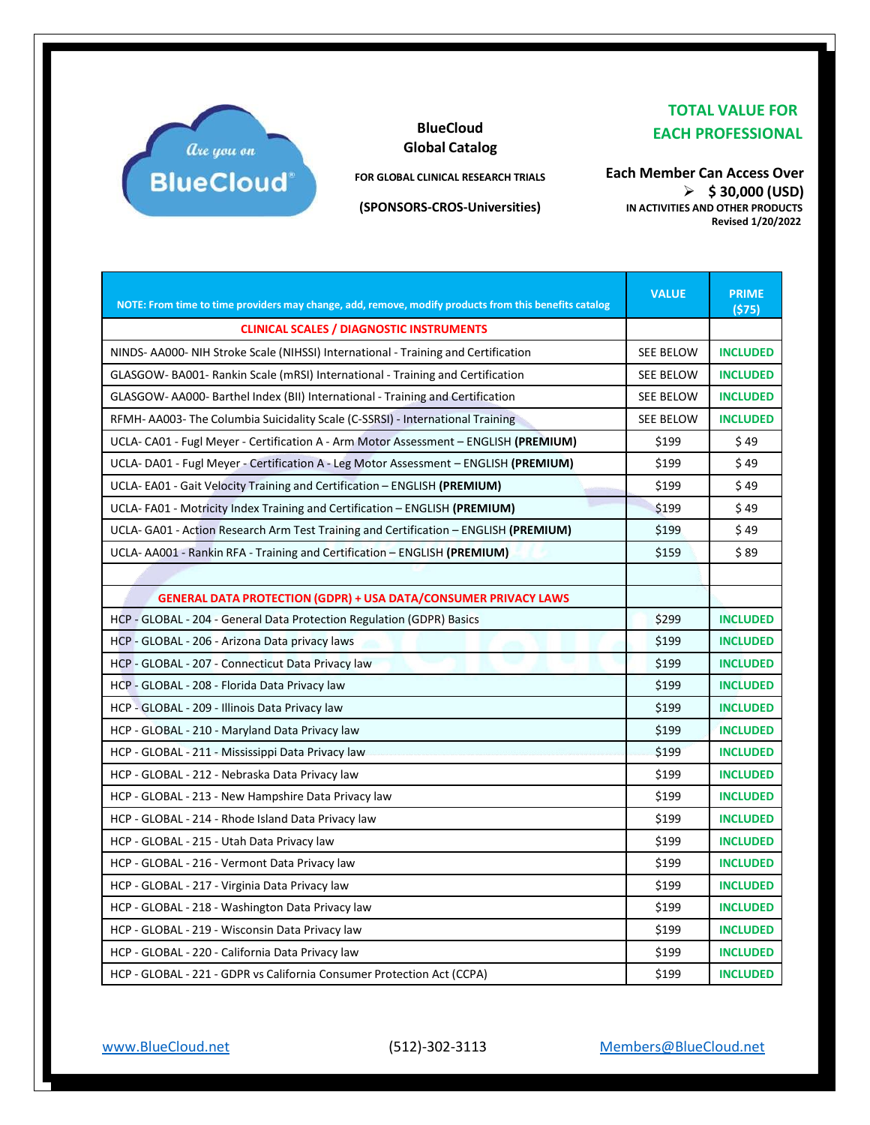

## **BlueCloud Global Catalog**

**FOR GLOBAL CLINICAL RESEARCH TRIALS**

**(SPONSORS-CROS-Universities)**

 **TOTAL VALUE FOR EACH PROFESSIONAL**

**Each Member Can Access Over** ➢ **\$ 30,000 (USD) IN ACTIVITIES AND OTHER PRODUCTS Revised 1/20/2022**

| NOTE: From time to time providers may change, add, remove, modify products from this benefits catalog | <b>VALUE</b>     | <b>PRIME</b><br>(S75) |
|-------------------------------------------------------------------------------------------------------|------------------|-----------------------|
| <b>CLINICAL SCALES / DIAGNOSTIC INSTRUMENTS</b>                                                       |                  |                       |
| NINDS- AA000- NIH Stroke Scale (NIHSSI) International - Training and Certification                    | <b>SEE BELOW</b> | <b>INCLUDED</b>       |
| GLASGOW-BA001- Rankin Scale (mRSI) International - Training and Certification                         | SEE BELOW        | <b>INCLUDED</b>       |
| GLASGOW-AA000- Barthel Index (BII) International - Training and Certification                         | SEE BELOW        | <b>INCLUDED</b>       |
| RFMH- AA003- The Columbia Suicidality Scale (C-SSRSI) - International Training                        | <b>SEE BELOW</b> | <b>INCLUDED</b>       |
| UCLA- CA01 - Fugl Meyer - Certification A - Arm Motor Assessment – ENGLISH <b>(PREMIUM)</b>           | \$199            | \$49                  |
| UCLA-DA01 - Fugl Meyer - Certification A - Leg Motor Assessment - ENGLISH (PREMIUM)                   | \$199            | \$49                  |
| UCLA- EA01 - Gait Velocity Training and Certification – ENGLISH (PREMIUM)                             | \$199            | \$49                  |
| UCLA-FA01 - Motricity Index Training and Certification – ENGLISH (PREMIUM)                            | \$199            | \$49                  |
| UCLA- GA01 - Action Research Arm Test Training and Certification – ENGLISH (PREMIUM)                  | \$199            | \$49                  |
| UCLA- AA001 - Rankin RFA - Training and Certification – ENGLISH (PREMIUM)                             | \$159            | \$89                  |
|                                                                                                       |                  |                       |
| <b>GENERAL DATA PROTECTION (GDPR) + USA DATA/CONSUMER PRIVACY LAWS</b>                                |                  |                       |
| HCP - GLOBAL - 204 - General Data Protection Regulation (GDPR) Basics                                 | \$299            | <b>INCLUDED</b>       |
| HCP - GLOBAL - 206 - Arizona Data privacy laws                                                        | \$199            | <b>INCLUDED</b>       |
| HCP - GLOBAL - 207 - Connecticut Data Privacy law                                                     | \$199            | <b>INCLUDED</b>       |
| HCP - GLOBAL - 208 - Florida Data Privacy law                                                         | \$199            | <b>INCLUDED</b>       |
| HCP - GLOBAL - 209 - Illinois Data Privacy law                                                        | \$199            | <b>INCLUDED</b>       |
| HCP - GLOBAL - 210 - Maryland Data Privacy law                                                        | \$199            | <b>INCLUDED</b>       |
| HCP - GLOBAL - 211 - Mississippi Data Privacy law                                                     | \$199            | <b>INCLUDED</b>       |
| HCP - GLOBAL - 212 - Nebraska Data Privacy law                                                        | \$199            | <b>INCLUDED</b>       |
| HCP - GLOBAL - 213 - New Hampshire Data Privacy law                                                   | \$199            | <b>INCLUDED</b>       |
| HCP - GLOBAL - 214 - Rhode Island Data Privacy law                                                    | \$199            | <b>INCLUDED</b>       |
| HCP - GLOBAL - 215 - Utah Data Privacy law                                                            | \$199            | <b>INCLUDED</b>       |
| HCP - GLOBAL - 216 - Vermont Data Privacy law                                                         | \$199            | <b>INCLUDED</b>       |
| HCP - GLOBAL - 217 - Virginia Data Privacy law                                                        | \$199            | <b>INCLUDED</b>       |
| HCP - GLOBAL - 218 - Washington Data Privacy law                                                      | \$199            | <b>INCLUDED</b>       |
| HCP - GLOBAL - 219 - Wisconsin Data Privacy law                                                       | \$199            | <b>INCLUDED</b>       |
| HCP - GLOBAL - 220 - California Data Privacy law                                                      | \$199            | <b>INCLUDED</b>       |
| HCP - GLOBAL - 221 - GDPR vs California Consumer Protection Act (CCPA)                                | \$199            | <b>INCLUDED</b>       |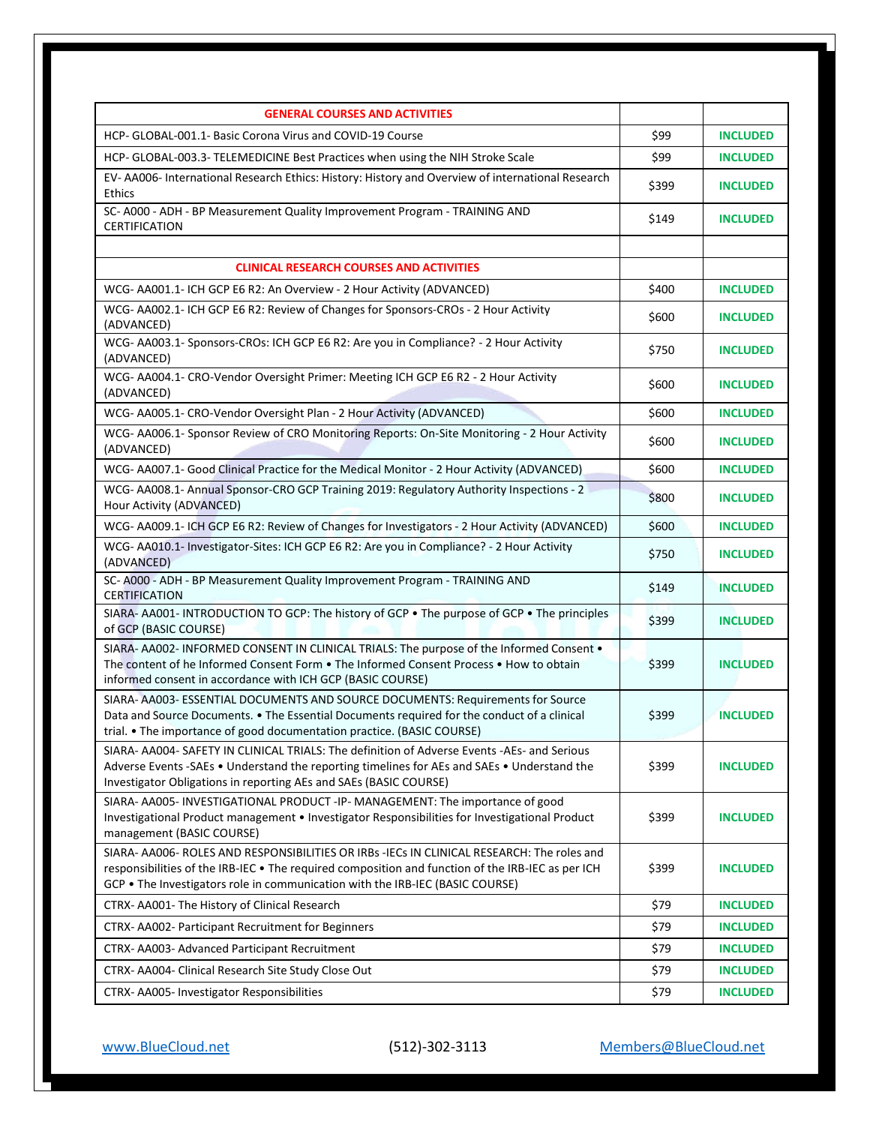| <b>GENERAL COURSES AND ACTIVITIES</b>                                                                                                                                                                                                                                          |       |                 |
|--------------------------------------------------------------------------------------------------------------------------------------------------------------------------------------------------------------------------------------------------------------------------------|-------|-----------------|
| HCP- GLOBAL-001.1- Basic Corona Virus and COVID-19 Course                                                                                                                                                                                                                      | \$99  | <b>INCLUDED</b> |
| HCP- GLOBAL-003.3- TELEMEDICINE Best Practices when using the NIH Stroke Scale                                                                                                                                                                                                 | \$99  | <b>INCLUDED</b> |
| EV- AA006- International Research Ethics: History: History and Overview of international Research<br><b>Ethics</b>                                                                                                                                                             | \$399 | <b>INCLUDED</b> |
| SC- A000 - ADH - BP Measurement Quality Improvement Program - TRAINING AND<br><b>CERTIFICATION</b>                                                                                                                                                                             | \$149 | <b>INCLUDED</b> |
|                                                                                                                                                                                                                                                                                |       |                 |
| <b>CLINICAL RESEARCH COURSES AND ACTIVITIES</b>                                                                                                                                                                                                                                |       |                 |
| WCG-AA001.1- ICH GCP E6 R2: An Overview - 2 Hour Activity (ADVANCED)<br>WCG-AA002.1- ICH GCP E6 R2: Review of Changes for Sponsors-CROs - 2 Hour Activity                                                                                                                      | \$400 | <b>INCLUDED</b> |
| (ADVANCED)                                                                                                                                                                                                                                                                     | \$600 | <b>INCLUDED</b> |
| WCG- AA003.1- Sponsors-CROs: ICH GCP E6 R2: Are you in Compliance? - 2 Hour Activity<br>(ADVANCED)                                                                                                                                                                             | \$750 | <b>INCLUDED</b> |
| WCG- AA004.1- CRO-Vendor Oversight Primer: Meeting ICH GCP E6 R2 - 2 Hour Activity<br>(ADVANCED)                                                                                                                                                                               | \$600 | <b>INCLUDED</b> |
| WCG-AA005.1- CRO-Vendor Oversight Plan - 2 Hour Activity (ADVANCED)                                                                                                                                                                                                            | \$600 | <b>INCLUDED</b> |
| WCG- AA006.1- Sponsor Review of CRO Monitoring Reports: On-Site Monitoring - 2 Hour Activity<br>(ADVANCED)                                                                                                                                                                     | \$600 | <b>INCLUDED</b> |
| WCG- AA007.1- Good Clinical Practice for the Medical Monitor - 2 Hour Activity (ADVANCED)                                                                                                                                                                                      | \$600 | <b>INCLUDED</b> |
| WCG- AA008.1- Annual Sponsor-CRO GCP Training 2019: Regulatory Authority Inspections - 2<br>Hour Activity (ADVANCED)                                                                                                                                                           | \$800 | <b>INCLUDED</b> |
| WCG- AA009.1- ICH GCP E6 R2: Review of Changes for Investigators - 2 Hour Activity (ADVANCED)                                                                                                                                                                                  | \$600 | <b>INCLUDED</b> |
| WCG- AA010.1- Investigator-Sites: ICH GCP E6 R2: Are you in Compliance? - 2 Hour Activity<br>(ADVANCED)                                                                                                                                                                        | \$750 | <b>INCLUDED</b> |
| SC- A000 - ADH - BP Measurement Quality Improvement Program - TRAINING AND<br><b>CERTIFICATION</b>                                                                                                                                                                             | \$149 | <b>INCLUDED</b> |
| SIARA-AA001-INTRODUCTION TO GCP: The history of GCP . The purpose of GCP . The principles<br>of GCP (BASIC COURSE)                                                                                                                                                             | \$399 | <b>INCLUDED</b> |
| SIARA- AA002- INFORMED CONSENT IN CLINICAL TRIALS: The purpose of the Informed Consent .<br>The content of he Informed Consent Form . The Informed Consent Process . How to obtain<br>informed consent in accordance with ICH GCP (BASIC COURSE)                               | \$399 | <b>INCLUDED</b> |
| SIARA- AA003- ESSENTIAL DOCUMENTS AND SOURCE DOCUMENTS: Requirements for Source<br>Data and Source Documents. • The Essential Documents required for the conduct of a clinical<br>trial. • The importance of good documentation practice. (BASIC COURSE)                       | \$399 | <b>INCLUDED</b> |
| SIARA- AA004- SAFETY IN CLINICAL TRIALS: The definition of Adverse Events -AEs- and Serious<br>Adverse Events -SAEs • Understand the reporting timelines for AEs and SAEs • Understand the<br>Investigator Obligations in reporting AEs and SAEs (BASIC COURSE)                | \$399 | <b>INCLUDED</b> |
| SIARA- AA005- INVESTIGATIONAL PRODUCT -IP- MANAGEMENT: The importance of good<br>Investigational Product management . Investigator Responsibilities for Investigational Product<br>management (BASIC COURSE)                                                                   | \$399 | <b>INCLUDED</b> |
| SIARA-AA006-ROLES AND RESPONSIBILITIES OR IRBs -IECs IN CLINICAL RESEARCH: The roles and<br>responsibilities of the IRB-IEC • The required composition and function of the IRB-IEC as per ICH<br>GCP . The Investigators role in communication with the IRB-IEC (BASIC COURSE) | \$399 | <b>INCLUDED</b> |
| CTRX-AA001-The History of Clinical Research                                                                                                                                                                                                                                    | \$79  | <b>INCLUDED</b> |
| CTRX-AA002- Participant Recruitment for Beginners                                                                                                                                                                                                                              | \$79  | <b>INCLUDED</b> |
| CTRX- AA003- Advanced Participant Recruitment                                                                                                                                                                                                                                  | \$79  | <b>INCLUDED</b> |
| CTRX-AA004- Clinical Research Site Study Close Out                                                                                                                                                                                                                             | \$79  | <b>INCLUDED</b> |
| CTRX- AA005- Investigator Responsibilities                                                                                                                                                                                                                                     | \$79  | <b>INCLUDED</b> |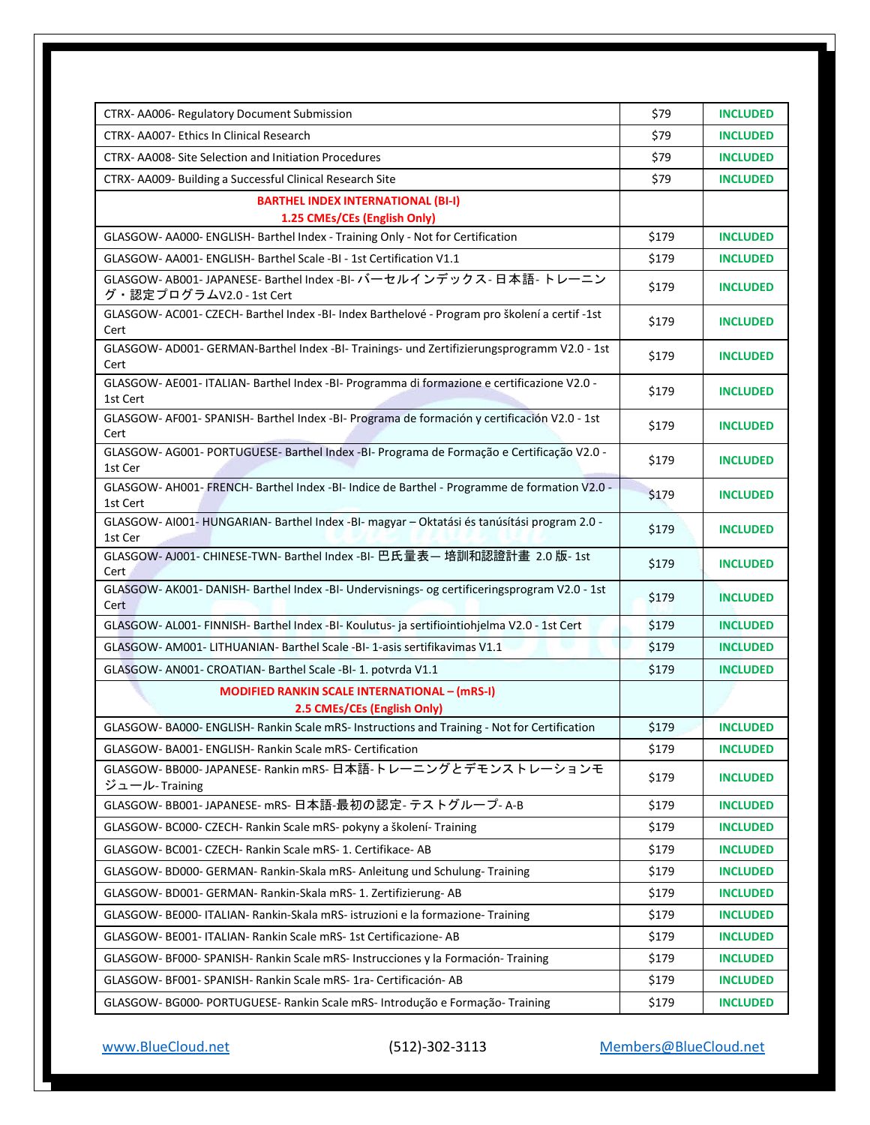| CTRX-AA006-Regulatory Document Submission<br>CTRX- AA007- Ethics In Clinical Research                  | \$79<br>\$79 | <b>INCLUDED</b><br><b>INCLUDED</b> |
|--------------------------------------------------------------------------------------------------------|--------------|------------------------------------|
|                                                                                                        | \$79         |                                    |
| CTRX-AA008-Site Selection and Initiation Procedures                                                    |              | <b>INCLUDED</b>                    |
| CTRX-AA009- Building a Successful Clinical Research Site                                               | \$79         | <b>INCLUDED</b>                    |
| <b>BARTHEL INDEX INTERNATIONAL (BI-I)</b><br>1.25 CMEs/CEs (English Only)                              |              |                                    |
| GLASGOW-AA000-ENGLISH-Barthel Index - Training Only - Not for Certification                            | \$179        | <b>INCLUDED</b>                    |
| GLASGOW- AA001- ENGLISH- Barthel Scale -BI - 1st Certification V1.1                                    | \$179        | <b>INCLUDED</b>                    |
| GLASGOW- AB001- JAPANESE- Barthel Index -BI- バーセルインデックス- 日本語- トレーニン                                    |              |                                    |
| グ・認定プログラムV2.0 - 1st Cert                                                                               | \$179        | <b>INCLUDED</b>                    |
| GLASGOW-AC001- CZECH- Barthel Index -BI- Index Barthelové - Program pro školení a certif -1st<br>Cert  | \$179        | <b>INCLUDED</b>                    |
| GLASGOW- AD001- GERMAN-Barthel Index -BI- Trainings- und Zertifizierungsprogramm V2.0 - 1st<br>Cert    | \$179        | <b>INCLUDED</b>                    |
| GLASGOW-AE001-ITALIAN-Barthel Index -BI- Programma di formazione e certificazione V2.0 -<br>1st Cert   | \$179        | <b>INCLUDED</b>                    |
| GLASGOW- AF001- SPANISH- Barthel Index -BI- Programa de formación y certificación V2.0 - 1st<br>Cert   | \$179        | <b>INCLUDED</b>                    |
| GLASGOW- AG001- PORTUGUESE- Barthel Index -BI- Programa de Formação e Certificação V2.0 -<br>1st Cer   | \$179        | <b>INCLUDED</b>                    |
| GLASGOW-AH001-FRENCH-Barthel Index -BI- Indice de Barthel - Programme de formation V2.0 -<br>1st Cert  | \$179        | <b>INCLUDED</b>                    |
| GLASGOW- AI001- HUNGARIAN- Barthel Index -BI- magyar - Oktatási és tanúsítási program 2.0 -<br>1st Cer | \$179        | <b>INCLUDED</b>                    |
| GLASGOW-AJ001-CHINESE-TWN-Barthel Index -BI- 巴氏量表- 培訓和認證計畫 2.0 版-1st<br>Cert                           | \$179        | <b>INCLUDED</b>                    |
| GLASGOW- AK001- DANISH- Barthel Index -BI- Undervisnings- og certificeringsprogram V2.0 - 1st<br>Cert  | \$179        | <b>INCLUDED</b>                    |
| GLASGOW- AL001- FINNISH- Barthel Index -BI- Koulutus- ja sertifiointiohjelma V2.0 - 1st Cert           | \$179        | <b>INCLUDED</b>                    |
| GLASGOW-AM001-LITHUANIAN-Barthel Scale -BI-1-asis sertifikavimas V1.1                                  | \$179        | <b>INCLUDED</b>                    |
| GLASGOW- AN001- CROATIAN- Barthel Scale -BI- 1. potvrda V1.1                                           | \$179        | <b>INCLUDED</b>                    |
| <b>MODIFIED RANKIN SCALE INTERNATIONAL - (mRS-I)</b><br>2.5 CMEs/CEs (English Only)                    |              |                                    |
| GLASGOW-BA000-ENGLISH-Rankin Scale mRS-Instructions and Training - Not for Certification               | \$179        | <b>INCLUDED</b>                    |
| GLASGOW- BA001- ENGLISH- Rankin Scale mRS- Certification                                               | \$179        | <b>INCLUDED</b>                    |
| GLASGOW-BB000-JAPANESE-Rankin mRS-日本語-トレーニングとデモンストレーションモ<br>ジュール- Training                             | \$179        | <b>INCLUDED</b>                    |
| GLASGOW-BB001-JAPANESE-mRS-日本語-最初の認定-テストグループ-A-B                                                       | \$179        | <b>INCLUDED</b>                    |
| GLASGOW- BC000- CZECH- Rankin Scale mRS- pokyny a školení- Training                                    | \$179        | <b>INCLUDED</b>                    |
| GLASGOW- BC001- CZECH- Rankin Scale mRS- 1. Certifikace- AB                                            | \$179        | <b>INCLUDED</b>                    |
| GLASGOW- BD000- GERMAN- Rankin-Skala mRS- Anleitung und Schulung- Training                             | \$179        | <b>INCLUDED</b>                    |
| GLASGOW-BD001- GERMAN- Rankin-Skala mRS- 1. Zertifizierung- AB                                         | \$179        | <b>INCLUDED</b>                    |
| GLASGOW-BE000-ITALIAN-Rankin-Skala mRS-istruzioni e la formazione-Training                             | \$179        | <b>INCLUDED</b>                    |
| GLASGOW- BE001- ITALIAN- Rankin Scale mRS- 1st Certificazione- AB                                      | \$179        | <b>INCLUDED</b>                    |
| GLASGOW- BF000- SPANISH- Rankin Scale mRS- Instrucciones y la Formación- Training                      | \$179        | <b>INCLUDED</b>                    |
| GLASGOW- BF001- SPANISH- Rankin Scale mRS- 1ra- Certificación- AB                                      | \$179        | <b>INCLUDED</b>                    |
| GLASGOW- BG000- PORTUGUESE- Rankin Scale mRS- Introdução e Formação- Training                          | \$179        | <b>INCLUDED</b>                    |
|                                                                                                        |              |                                    |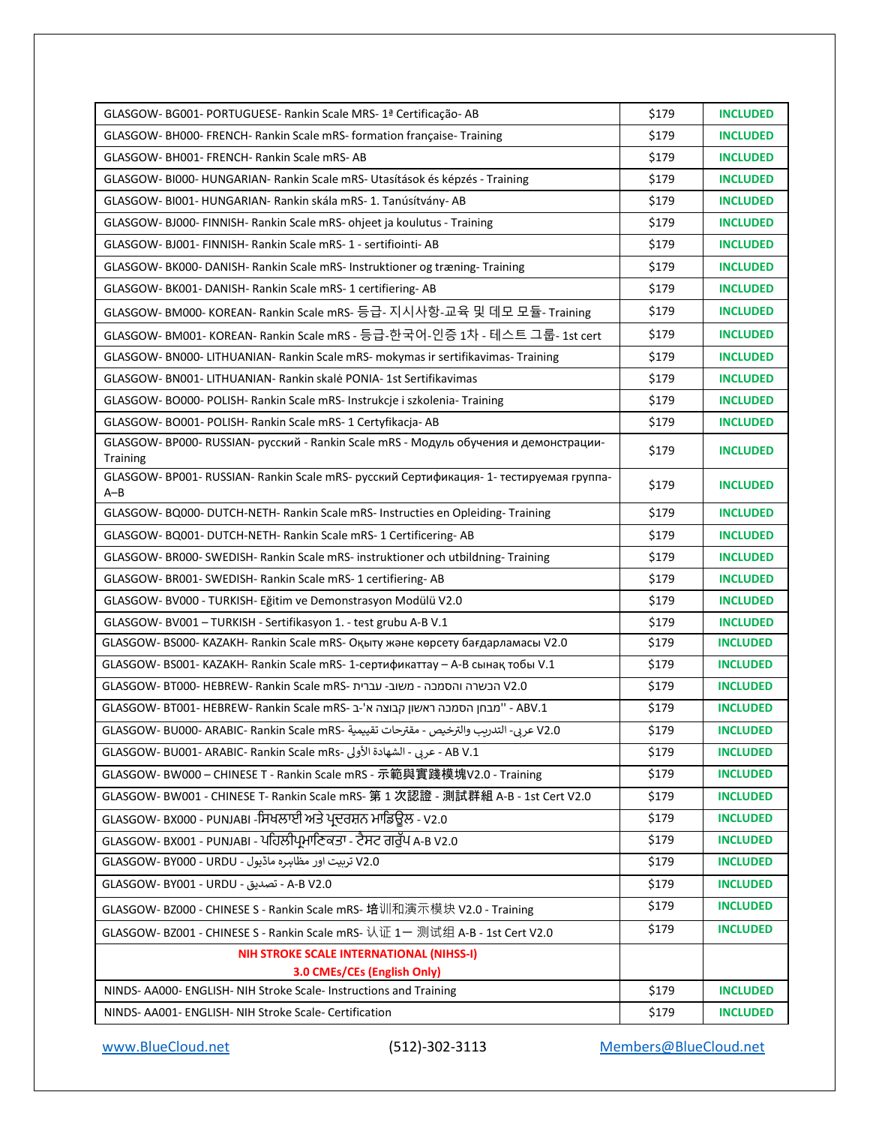| GLASGOW-BG001-PORTUGUESE-Rankin Scale MRS-1ª Certificação-AB                                      | \$179 | <b>INCLUDED</b> |
|---------------------------------------------------------------------------------------------------|-------|-----------------|
| GLASGOW- BH000- FRENCH- Rankin Scale mRS- formation française- Training                           | \$179 | <b>INCLUDED</b> |
| GLASGOW- BH001- FRENCH- Rankin Scale mRS- AB                                                      | \$179 | <b>INCLUDED</b> |
| GLASGOW- BI000- HUNGARIAN- Rankin Scale mRS- Utasítások és képzés - Training                      | \$179 | <b>INCLUDED</b> |
| GLASGOW- BI001- HUNGARIAN- Rankin skála mRS- 1. Tanúsítvány- AB                                   | \$179 | <b>INCLUDED</b> |
| GLASGOW-BJ000-FINNISH-Rankin Scale mRS- ohjeet ja koulutus - Training                             | \$179 | <b>INCLUDED</b> |
| GLASGOW- BJ001- FINNISH- Rankin Scale mRS- 1 - sertifiointi- AB                                   | \$179 | <b>INCLUDED</b> |
| GLASGOW- BK000- DANISH- Rankin Scale mRS- Instruktioner og træning- Training                      | \$179 | <b>INCLUDED</b> |
| GLASGOW- BK001- DANISH- Rankin Scale mRS- 1 certifiering- AB                                      | \$179 | <b>INCLUDED</b> |
| GLASGOW- BM000- KOREAN- Rankin Scale mRS- 등급- 지시사항-교육 및 데모 모듈- Training                           | \$179 | <b>INCLUDED</b> |
| GLASGOW- BM001- KOREAN- Rankin Scale mRS - 등급-한국어-인증 1차 - 테스트 그룹- 1st cert                        | \$179 | <b>INCLUDED</b> |
| GLASGOW- BN000- LITHUANIAN- Rankin Scale mRS- mokymas ir sertifikavimas- Training                 | \$179 | <b>INCLUDED</b> |
| GLASGOW- BN001- LITHUANIAN- Rankin skalė PONIA- 1st Sertifikavimas                                | \$179 | <b>INCLUDED</b> |
| GLASGOW-BO000-POLISH-Rankin Scale mRS-Instrukcje i szkolenia-Training                             | \$179 | <b>INCLUDED</b> |
| GLASGOW- BO001- POLISH- Rankin Scale mRS- 1 Certyfikacja- AB                                      | \$179 | <b>INCLUDED</b> |
| GLASGOW- BP000- RUSSIAN- русский - Rankin Scale mRS - Модуль обучения и демонстрации-<br>Training | \$179 | <b>INCLUDED</b> |
| GLASGOW-BP001-RUSSIAN-Rankin Scale mRS-русский Сертификация-1-тестируемая группа-<br>A-B          | \$179 | <b>INCLUDED</b> |
| GLASGOW- BQ000- DUTCH-NETH- Rankin Scale mRS- Instructies en Opleiding- Training                  | \$179 | <b>INCLUDED</b> |
| GLASGOW- BQ001- DUTCH-NETH- Rankin Scale mRS- 1 Certificering- AB                                 | \$179 | <b>INCLUDED</b> |
| GLASGOW- BR000- SWEDISH- Rankin Scale mRS- instruktioner och utbildning- Training                 | \$179 | <b>INCLUDED</b> |
| GLASGOW- BR001- SWEDISH- Rankin Scale mRS- 1 certifiering- AB                                     | \$179 | <b>INCLUDED</b> |
| GLASGOW-BV000 - TURKISH- Eğitim ve Demonstrasyon Modülü V2.0                                      | \$179 | <b>INCLUDED</b> |
| GLASGOW-BV001-TURKISH - Sertifikasyon 1. - test grubu A-B V.1                                     | \$179 | <b>INCLUDED</b> |
| GLASGOW-BS000-KAZAKH-Rankin Scale mRS- Оқыту және көрсету бағдарламасы V2.0                       | \$179 | <b>INCLUDED</b> |
| GLASGOW- BS001- KAZAKH- Rankin Scale mRS- 1-сертификаттау - А-В сынақ тобы V.1                    | \$179 | <b>INCLUDED</b> |
| 0.20 הבשרה והסמכה - משוב- עברית -GLASGOW- BT000- HEBREW- Rankin Scale mRS                         | \$179 | <b>INCLUDED</b> |
| GLASGOW- BT001- HEBREW- Rankin Scale mRS- ב- "מבחן הסמכה ראשון קבוצה א'-ב-ABV.1                   | \$179 | <b>INCLUDED</b> |
| V2.0 عربي- التدريب والترخيص - مقترحات تقييمية -GLASGOW- BU000- ARABIC- Rankin Scale mRS           | \$179 | <b>INCLUDED</b> |
| AB V.1 - عربى - الشهادة الأولى -GLASGOW- BU001- ARABIC- Rankin Scale mRs                          | \$179 | <b>INCLUDED</b> |
| GLASGOW-BW000 - CHINESE T - Rankin Scale mRS - 示範與實踐模塊V2.0 - Training                             | \$179 | <b>INCLUDED</b> |
| GLASGOW-BW001 - CHINESE T- Rankin Scale mRS- 第 1 次認證 - 測試群組 A-B - 1st Cert V2.0                   | \$179 | <b>INCLUDED</b> |
| GLASGOW- BX000 - PUNJABI -ਸਿਖਲਾਈ ਅਤੇ ਪ੍ਰਦਰਸ਼ਨ ਮਾਡਿਊਲ - V2.0                                       | \$179 | <b>INCLUDED</b> |
| GLASGOW- BX001 - PUNJABI - ਪਹਿਲੀਪ੍ਰਮਾਣਿਕਤਾ - ਟੈਸਟ ਗਰੁੱਪ A-B V2.0                                  | \$179 | <b>INCLUDED</b> |
| V2.0 تربيت اور مظاہره ماڈيول - GLASGOW- BY000 - URDU                                              | \$179 | <b>INCLUDED</b> |
| A-B V2.0 - تصديق - GLASGOW- BY001 - URDU                                                          | \$179 | <b>INCLUDED</b> |
| GLASGOW- BZ000 - CHINESE S - Rankin Scale mRS- 培训和演示模块 V2.0 - Training                            | \$179 | <b>INCLUDED</b> |
| GLASGOW- BZ001 - CHINESE S - Rankin Scale mRS- 认证 1- 测试组 A-B - 1st Cert V2.0                      | \$179 | <b>INCLUDED</b> |
| NIH STROKE SCALE INTERNATIONAL (NIHSS-I)                                                          |       |                 |
| 3.0 CMEs/CEs (English Only)                                                                       |       |                 |
| NINDS- AA000- ENGLISH- NIH Stroke Scale- Instructions and Training                                | \$179 | <b>INCLUDED</b> |
| NINDS- AA001- ENGLISH- NIH Stroke Scale- Certification                                            | \$179 | <b>INCLUDED</b> |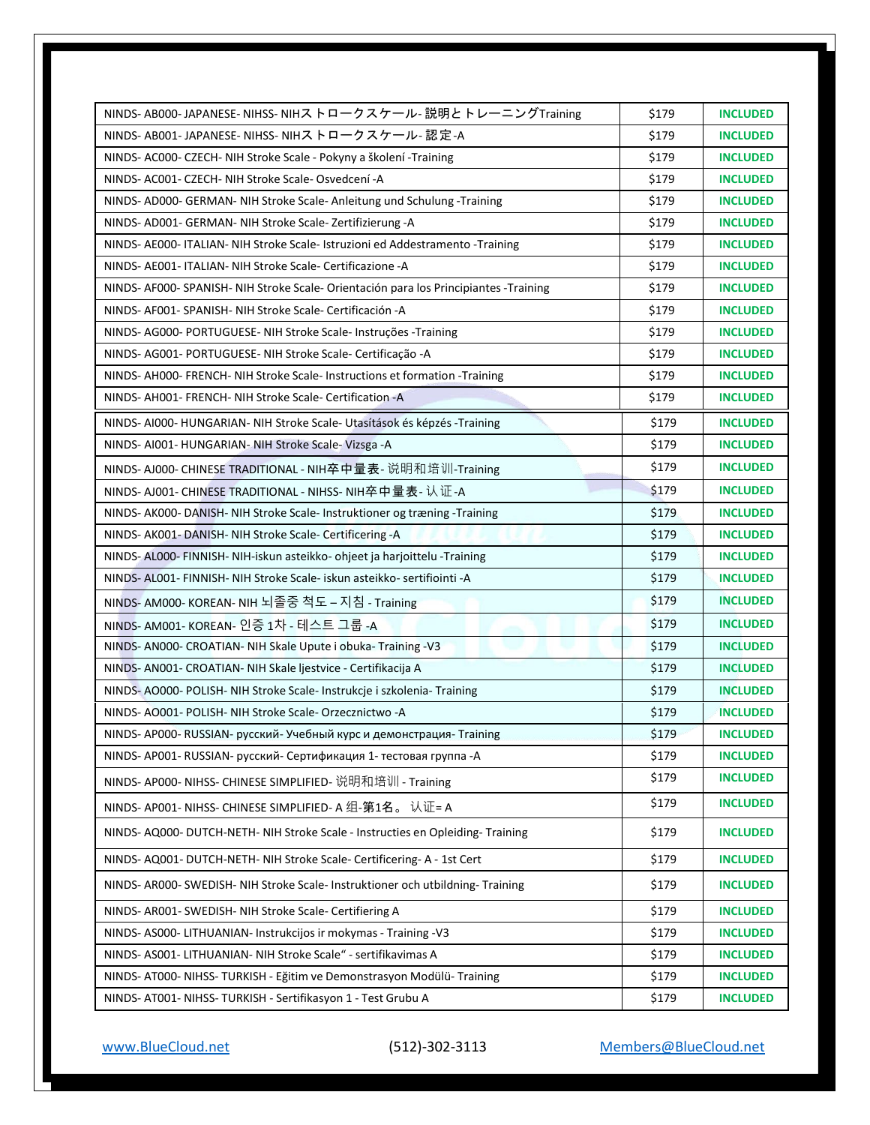| NINDS-AB000-JAPANESE-NIHSS-NIHストロークスケール-説明とトレーニングTraining                             | \$179 | <b>INCLUDED</b> |
|---------------------------------------------------------------------------------------|-------|-----------------|
| NINDS- AB001- JAPANESE- NIHSS- NIHストロークスケール- 認定-A                                     | \$179 | <b>INCLUDED</b> |
| NINDS- AC000- CZECH- NIH Stroke Scale - Pokyny a školení - Training                   | \$179 | <b>INCLUDED</b> |
| NINDS- AC001- CZECH- NIH Stroke Scale- Osvedcení -A                                   | \$179 | <b>INCLUDED</b> |
| NINDS- AD000- GERMAN- NIH Stroke Scale- Anleitung und Schulung -Training              | \$179 | <b>INCLUDED</b> |
| NINDS- AD001- GERMAN- NIH Stroke Scale- Zertifizierung -A                             | \$179 | <b>INCLUDED</b> |
| NINDS- AE000- ITALIAN- NIH Stroke Scale- Istruzioni ed Addestramento -Training        | \$179 | <b>INCLUDED</b> |
| NINDS- AE001- ITALIAN- NIH Stroke Scale- Certificazione -A                            | \$179 | <b>INCLUDED</b> |
| NINDS- AF000- SPANISH- NIH Stroke Scale- Orientación para los Principiantes -Training | \$179 | <b>INCLUDED</b> |
| NINDS- AF001- SPANISH- NIH Stroke Scale- Certificación -A                             | \$179 | <b>INCLUDED</b> |
| NINDS- AG000- PORTUGUESE- NIH Stroke Scale- Instruções -Training                      | \$179 | <b>INCLUDED</b> |
| NINDS- AG001- PORTUGUESE- NIH Stroke Scale- Certificação -A                           | \$179 | <b>INCLUDED</b> |
| NINDS-AH000-FRENCH-NIH Stroke Scale-Instructions et formation -Training               | \$179 | <b>INCLUDED</b> |
| NINDS-AH001-FRENCH-NIH Stroke Scale-Certification-A                                   | \$179 | <b>INCLUDED</b> |
| NINDS- AI000- HUNGARIAN- NIH Stroke Scale- Utasítások és képzés - Training            | \$179 | <b>INCLUDED</b> |
| NINDS- AI001- HUNGARIAN- NIH Stroke Scale- Vizsga -A                                  | \$179 | <b>INCLUDED</b> |
| NINDS-AJ000- CHINESE TRADITIONAL - NIH卒中量表- 说明和培训-Training                            | \$179 | <b>INCLUDED</b> |
| NINDS- AJ001- CHINESE TRADITIONAL - NIHSS- NIH卒中量表- 认证-A                              | \$179 | <b>INCLUDED</b> |
| NINDS- AK000- DANISH- NIH Stroke Scale- Instruktioner og træning -Training            | \$179 | <b>INCLUDED</b> |
| NINDS- AK001- DANISH- NIH Stroke Scale- Certificering -A                              | \$179 | <b>INCLUDED</b> |
| NINDS- AL000- FINNISH- NIH-iskun asteikko- ohjeet ja harjoittelu -Training            | \$179 | <b>INCLUDED</b> |
| NINDS- AL001- FINNISH- NIH Stroke Scale- iskun asteikko- sertifiointi -A              | \$179 | <b>INCLUDED</b> |
| NINDS- AM000- KOREAN- NIH 뇌졸중 척도 – 지침 - Training                                      | \$179 | <b>INCLUDED</b> |
| NINDS- AM001- KOREAN- 인증 1차 - 테스트 그룹 -A                                               | \$179 | <b>INCLUDED</b> |
| NINDS- AN000- CROATIAN- NIH Skale Upute i obuka- Training -V3                         | \$179 | <b>INCLUDED</b> |
| NINDS- ANOO1- CROATIAN- NIH Skale ljestvice - Certifikacija A                         | \$179 | <b>INCLUDED</b> |
| NINDS-AO000-POLISH- NIH Stroke Scale-Instrukcje i szkolenia-Training                  | \$179 | <b>INCLUDED</b> |
| NINDS-AO001-POLISH-NIH Stroke Scale-Orzecznictwo-A                                    | \$179 | <b>INCLUDED</b> |
| NINDS- AP000-RUSSIAN- русский- Учебный курс и демонстрация-Training                   | \$179 | <b>INCLUDED</b> |
| NINDS- AP001- RUSSIAN- русский- Сертификация 1- тестовая группа -A                    | \$179 | <b>INCLUDED</b> |
| NINDS- AP000- NIHSS- CHINESE SIMPLIFIED- 说明和培训 - Training                             | \$179 | <b>INCLUDED</b> |
| NINDS- AP001- NIHSS- CHINESE SIMPLIFIED- A 组-第1名。 认证= A                               | \$179 | <b>INCLUDED</b> |
| NINDS- AQ000- DUTCH-NETH- NIH Stroke Scale - Instructies en Opleiding- Training       | \$179 | <b>INCLUDED</b> |
| NINDS- AQ001- DUTCH-NETH- NIH Stroke Scale- Certificering- A - 1st Cert               | \$179 | <b>INCLUDED</b> |
| NINDS- AR000- SWEDISH- NIH Stroke Scale- Instruktioner och utbildning- Training       | \$179 | <b>INCLUDED</b> |
| NINDS- AR001- SWEDISH- NIH Stroke Scale- Certifiering A                               | \$179 | <b>INCLUDED</b> |
| NINDS- AS000- LITHUANIAN- Instrukcijos ir mokymas - Training -V3                      | \$179 | <b>INCLUDED</b> |
| NINDS- AS001- LITHUANIAN- NIH Stroke Scale" - sertifikavimas A                        | \$179 | <b>INCLUDED</b> |
| NINDS- AT000- NIHSS- TURKISH - Eğitim ve Demonstrasyon Modülü- Training               | \$179 | <b>INCLUDED</b> |
| NINDS- AT001- NIHSS- TURKISH - Sertifikasyon 1 - Test Grubu A                         | \$179 | <b>INCLUDED</b> |
|                                                                                       |       |                 |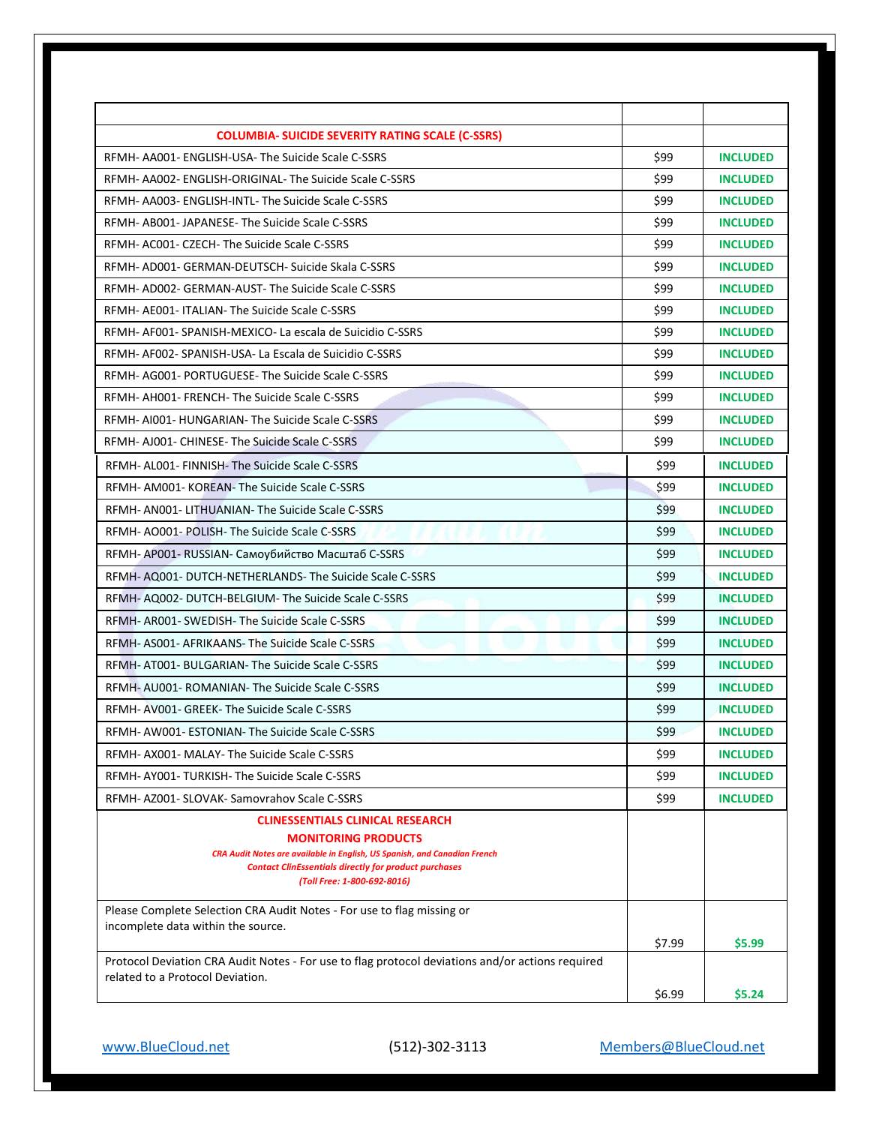| <b>COLUMBIA- SUICIDE SEVERITY RATING SCALE (C-SSRS)</b>                                                 |        |                 |
|---------------------------------------------------------------------------------------------------------|--------|-----------------|
| RFMH-AA001-ENGLISH-USA-The Suicide Scale C-SSRS                                                         | \$99   | <b>INCLUDED</b> |
| RFMH- AA002- ENGLISH-ORIGINAL- The Suicide Scale C-SSRS                                                 | \$99   | <b>INCLUDED</b> |
| RFMH- AA003- ENGLISH-INTL- The Suicide Scale C-SSRS                                                     | \$99   | <b>INCLUDED</b> |
| RFMH- AB001- JAPANESE- The Suicide Scale C-SSRS                                                         | \$99   | <b>INCLUDED</b> |
| RFMH- AC001- CZECH- The Suicide Scale C-SSRS                                                            | \$99   | <b>INCLUDED</b> |
| RFMH- AD001- GERMAN-DEUTSCH- Suicide Skala C-SSRS                                                       | \$99   | <b>INCLUDED</b> |
| RFMH- AD002- GERMAN-AUST- The Suicide Scale C-SSRS                                                      | \$99   | <b>INCLUDED</b> |
| RFMH- AE001- ITALIAN- The Suicide Scale C-SSRS                                                          | \$99   | <b>INCLUDED</b> |
| RFMH- AF001- SPANISH-MEXICO- La escala de Suicidio C-SSRS                                               | \$99   | <b>INCLUDED</b> |
| RFMH- AF002- SPANISH-USA- La Escala de Suicidio C-SSRS                                                  | \$99   | <b>INCLUDED</b> |
| RFMH-AG001-PORTUGUESE-The Suicide Scale C-SSRS                                                          | \$99   | <b>INCLUDED</b> |
| RFMH- AH001- FRENCH- The Suicide Scale C-SSRS                                                           | \$99   | <b>INCLUDED</b> |
| RFMH- AI001- HUNGARIAN- The Suicide Scale C-SSRS                                                        | \$99   | <b>INCLUDED</b> |
| RFMH- AJ001- CHINESE- The Suicide Scale C-SSRS                                                          | \$99   | <b>INCLUDED</b> |
| RFMH- AL001- FINNISH- The Suicide Scale C-SSRS                                                          | \$99   | <b>INCLUDED</b> |
| RFMH-AM001-KOREAN-The Suicide Scale C-SSRS                                                              | \$99   | <b>INCLUDED</b> |
| RFMH- AN001- LITHUANIAN- The Suicide Scale C-SSRS                                                       | \$99   | <b>INCLUDED</b> |
| RFMH-AO001-POLISH-The Suicide Scale C-SSRS                                                              | \$99   | <b>INCLUDED</b> |
| RFMH- AP001- RUSSIAN- Самоубийство Масштаб C-SSRS                                                       | \$99   | <b>INCLUDED</b> |
| RFMH- AQ001- DUTCH-NETHERLANDS- The Suicide Scale C-SSRS                                                | \$99   | <b>INCLUDED</b> |
| RFMH- AQ002- DUTCH-BELGIUM- The Suicide Scale C-SSRS                                                    | \$99   | <b>INCLUDED</b> |
| RFMH- AR001- SWEDISH- The Suicide Scale C-SSRS                                                          | \$99   | <b>INCLUDED</b> |
| RFMH- AS001- AFRIKAANS- The Suicide Scale C-SSRS                                                        | \$99   | <b>INCLUDED</b> |
| RFMH-AT001-BULGARIAN-The Suicide Scale C-SSRS                                                           | \$99   | <b>INCLUDED</b> |
| RFMH- AU001- ROMANIAN- The Suicide Scale C-SSRS                                                         | \$99   | <b>INCLUDED</b> |
| RFMH- AV001- GREEK- The Suicide Scale C-SSRS                                                            | \$99   | <b>INCLUDED</b> |
| RFMH- AW001- ESTONIAN- The Suicide Scale C-SSRS                                                         | \$99   | <b>INCLUDED</b> |
| RFMH- AX001- MALAY- The Suicide Scale C-SSRS                                                            | \$99   | <b>INCLUDED</b> |
| RFMH-AY001-TURKISH-The Suicide Scale C-SSRS                                                             | \$99   | <b>INCLUDED</b> |
| RFMH- AZ001- SLOVAK- Samovrahov Scale C-SSRS                                                            | \$99   | <b>INCLUDED</b> |
| <b>CLINESSENTIALS CLINICAL RESEARCH</b>                                                                 |        |                 |
| <b>MONITORING PRODUCTS</b><br>CRA Audit Notes are available in English, US Spanish, and Canadian French |        |                 |
| <b>Contact ClinEssentials directly for product purchases</b>                                            |        |                 |
| (Toll Free: 1-800-692-8016)                                                                             |        |                 |
| Please Complete Selection CRA Audit Notes - For use to flag missing or                                  |        |                 |
| incomplete data within the source.                                                                      |        |                 |
| Protocol Deviation CRA Audit Notes - For use to flag protocol deviations and/or actions required        | \$7.99 | \$5.99          |
| related to a Protocol Deviation.                                                                        |        |                 |
|                                                                                                         | \$6.99 | \$5.24          |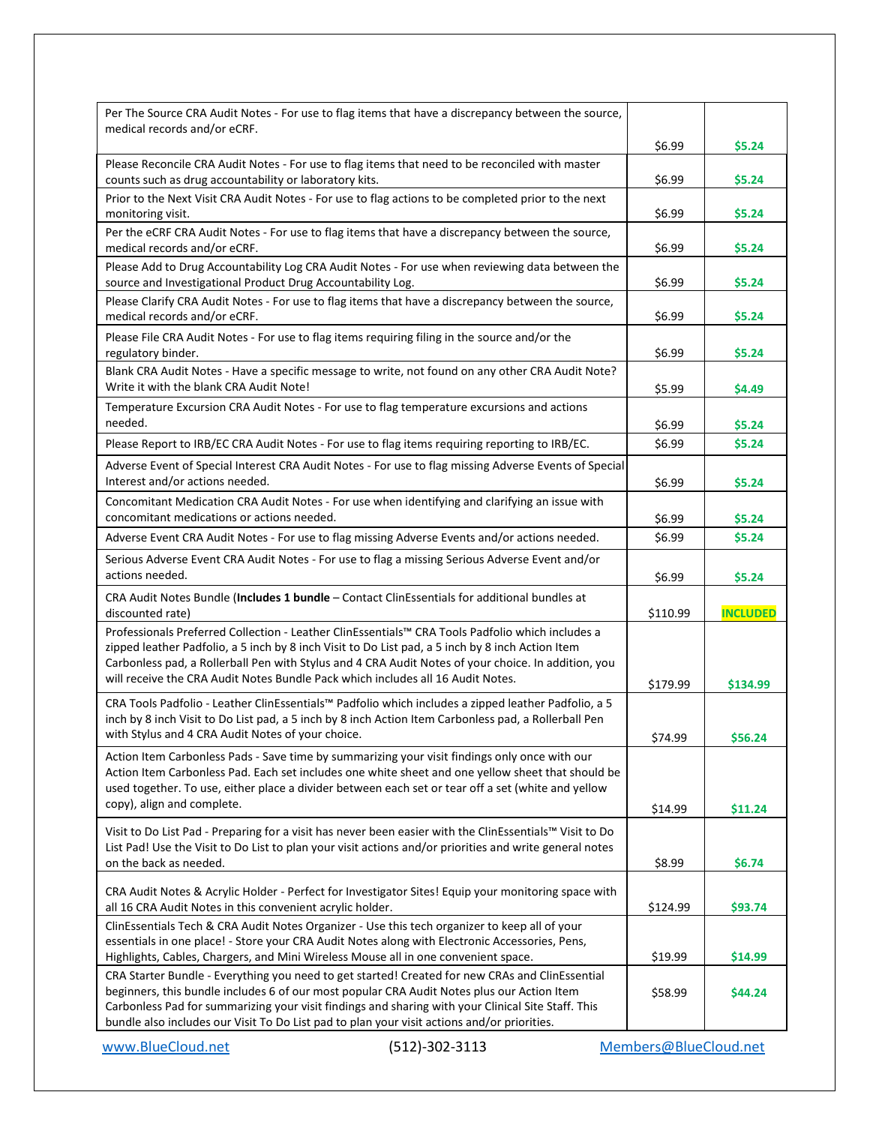| Per The Source CRA Audit Notes - For use to flag items that have a discrepancy between the source,<br>medical records and/or eCRF.                                                                                                                                                                                                                                                                 |          |                 |
|----------------------------------------------------------------------------------------------------------------------------------------------------------------------------------------------------------------------------------------------------------------------------------------------------------------------------------------------------------------------------------------------------|----------|-----------------|
|                                                                                                                                                                                                                                                                                                                                                                                                    | \$6.99   | \$5.24          |
| Please Reconcile CRA Audit Notes - For use to flag items that need to be reconciled with master<br>counts such as drug accountability or laboratory kits.                                                                                                                                                                                                                                          | \$6.99   | \$5.24          |
| Prior to the Next Visit CRA Audit Notes - For use to flag actions to be completed prior to the next<br>monitoring visit.                                                                                                                                                                                                                                                                           | \$6.99   | \$5.24          |
| Per the eCRF CRA Audit Notes - For use to flag items that have a discrepancy between the source,<br>medical records and/or eCRF.                                                                                                                                                                                                                                                                   | \$6.99   | \$5.24          |
| Please Add to Drug Accountability Log CRA Audit Notes - For use when reviewing data between the<br>source and Investigational Product Drug Accountability Log.                                                                                                                                                                                                                                     | \$6.99   | \$5.24          |
| Please Clarify CRA Audit Notes - For use to flag items that have a discrepancy between the source,<br>medical records and/or eCRF.                                                                                                                                                                                                                                                                 | \$6.99   | \$5.24          |
| Please File CRA Audit Notes - For use to flag items requiring filing in the source and/or the<br>regulatory binder.                                                                                                                                                                                                                                                                                | \$6.99   | \$5.24          |
| Blank CRA Audit Notes - Have a specific message to write, not found on any other CRA Audit Note?<br>Write it with the blank CRA Audit Note!                                                                                                                                                                                                                                                        | \$5.99   | \$4.49          |
| Temperature Excursion CRA Audit Notes - For use to flag temperature excursions and actions<br>needed.                                                                                                                                                                                                                                                                                              | \$6.99   | \$5.24          |
| Please Report to IRB/EC CRA Audit Notes - For use to flag items requiring reporting to IRB/EC.                                                                                                                                                                                                                                                                                                     | \$6.99   | \$5.24          |
| Adverse Event of Special Interest CRA Audit Notes - For use to flag missing Adverse Events of Special<br>Interest and/or actions needed.                                                                                                                                                                                                                                                           | \$6.99   | \$5.24          |
| Concomitant Medication CRA Audit Notes - For use when identifying and clarifying an issue with<br>concomitant medications or actions needed.                                                                                                                                                                                                                                                       | \$6.99   | \$5.24          |
| Adverse Event CRA Audit Notes - For use to flag missing Adverse Events and/or actions needed.                                                                                                                                                                                                                                                                                                      | \$6.99   | \$5.24          |
| Serious Adverse Event CRA Audit Notes - For use to flag a missing Serious Adverse Event and/or                                                                                                                                                                                                                                                                                                     |          |                 |
| actions needed.                                                                                                                                                                                                                                                                                                                                                                                    | \$6.99   | \$5.24          |
| CRA Audit Notes Bundle (Includes 1 bundle - Contact ClinEssentials for additional bundles at<br>discounted rate)                                                                                                                                                                                                                                                                                   | \$110.99 | <b>INCLUDED</b> |
| Professionals Preferred Collection - Leather ClinEssentials™ CRA Tools Padfolio which includes a<br>zipped leather Padfolio, a 5 inch by 8 inch Visit to Do List pad, a 5 inch by 8 inch Action Item<br>Carbonless pad, a Rollerball Pen with Stylus and 4 CRA Audit Notes of your choice. In addition, you<br>will receive the CRA Audit Notes Bundle Pack which includes all 16 Audit Notes.     | \$179.99 | \$134.99        |
| CRA Tools Padfolio - Leather ClinEssentials™ Padfolio which includes a zipped leather Padfolio, a 5<br>inch by 8 inch Visit to Do List pad, a 5 inch by 8 inch Action Item Carbonless pad, a Rollerball Pen<br>with Stylus and 4 CRA Audit Notes of your choice.                                                                                                                                   | \$74.99  | \$56.24         |
| Action Item Carbonless Pads - Save time by summarizing your visit findings only once with our<br>Action Item Carbonless Pad. Each set includes one white sheet and one yellow sheet that should be<br>used together. To use, either place a divider between each set or tear off a set (white and yellow<br>copy), align and complete.                                                             | \$14.99  | \$11.24         |
| Visit to Do List Pad - Preparing for a visit has never been easier with the ClinEssentials™ Visit to Do<br>List Pad! Use the Visit to Do List to plan your visit actions and/or priorities and write general notes<br>on the back as needed.                                                                                                                                                       | \$8.99   | \$6.74          |
| CRA Audit Notes & Acrylic Holder - Perfect for Investigator Sites! Equip your monitoring space with<br>all 16 CRA Audit Notes in this convenient acrylic holder.                                                                                                                                                                                                                                   | \$124.99 | \$93.74         |
| ClinEssentials Tech & CRA Audit Notes Organizer - Use this tech organizer to keep all of your<br>essentials in one place! - Store your CRA Audit Notes along with Electronic Accessories, Pens,<br>Highlights, Cables, Chargers, and Mini Wireless Mouse all in one convenient space.                                                                                                              | \$19.99  | \$14.99         |
| CRA Starter Bundle - Everything you need to get started! Created for new CRAs and ClinEssential<br>beginners, this bundle includes 6 of our most popular CRA Audit Notes plus our Action Item<br>Carbonless Pad for summarizing your visit findings and sharing with your Clinical Site Staff. This<br>bundle also includes our Visit To Do List pad to plan your visit actions and/or priorities. | \$58.99  | \$44.24         |